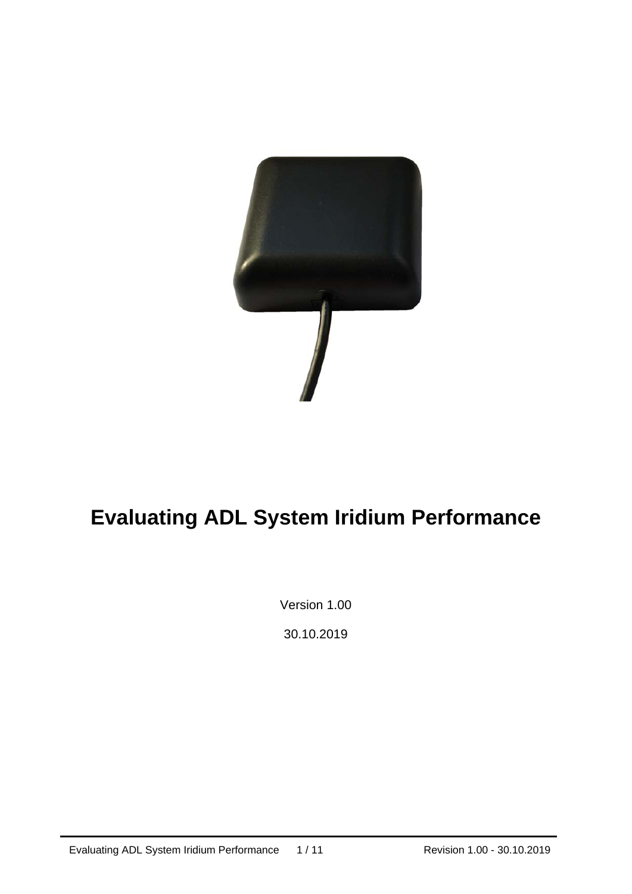

# **Evaluating ADL System Iridium Performance**

Version 1.00

30.10.2019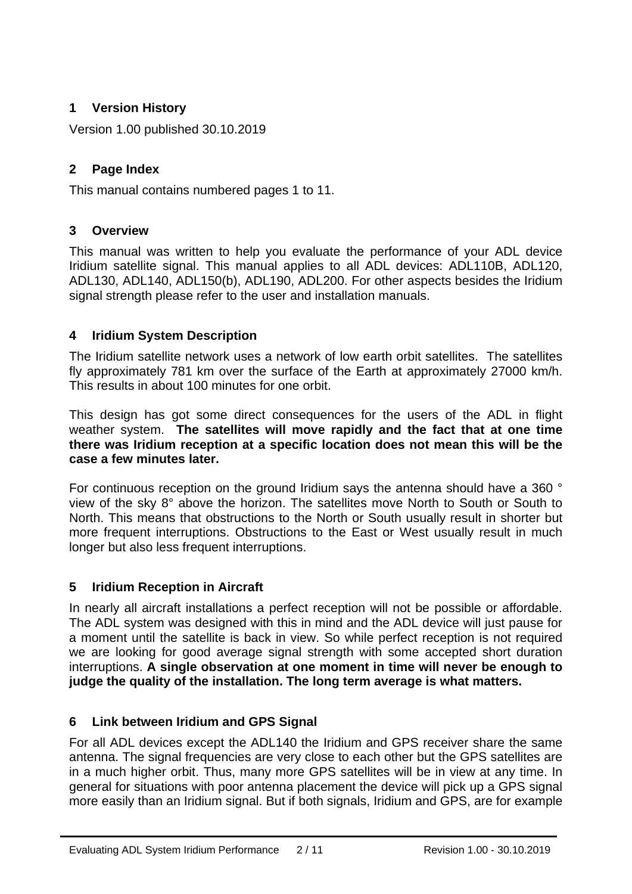# **1 Version History**

Version 1.00 published 30.10.2019

# **2 Page Index**

This manual contains numbered pages 1 to 11.

# **3 Overview**

This manual was written to help you evaluate the performance of your ADL device Iridium satellite signal. This manual applies to all ADL devices: ADL110B, ADL120, ADL130, ADL140, ADL150(b), ADL190, ADL200. For other aspects besides the Iridium signal strength please refer to the user and installation manuals.

## **4 Iridium System Description**

The Iridium satellite network uses a network of low earth orbit satellites. The satellites fly approximately 781 km over the surface of the Earth at approximately 27000 km/h. This results in about 100 minutes for one orbit.

This design has got some direct consequences for the users of the ADL in flight weather system. **The satellites will move rapidly and the fact that at one time there was Iridium reception at a specific location does not mean this will be the case a few minutes later.** 

For continuous reception on the ground Iridium says the antenna should have a 360 ° view of the sky 8° above the horizon. The satellites move North to South or South to North. This means that obstructions to the North or South usually result in shorter but more frequent interruptions. Obstructions to the East or West usually result in much longer but also less frequent interruptions.

# **5 Iridium Reception in Aircraft**

In nearly all aircraft installations a perfect reception will not be possible or affordable. The ADL system was designed with this in mind and the ADL device will just pause for a moment until the satellite is back in view. So while perfect reception is not required we are looking for good average signal strength with some accepted short duration interruptions. **A single observation at one moment in time will never be enough to judge the quality of the installation. The long term average is what matters.** 

# **6 Link between Iridium and GPS Signal**

For all ADL devices except the ADL140 the Iridium and GPS receiver share the same antenna. The signal frequencies are very close to each other but the GPS satellites are in a much higher orbit. Thus, many more GPS satellites will be in view at any time. In general for situations with poor antenna placement the device will pick up a GPS signal more easily than an Iridium signal. But if both signals, Iridium and GPS, are for example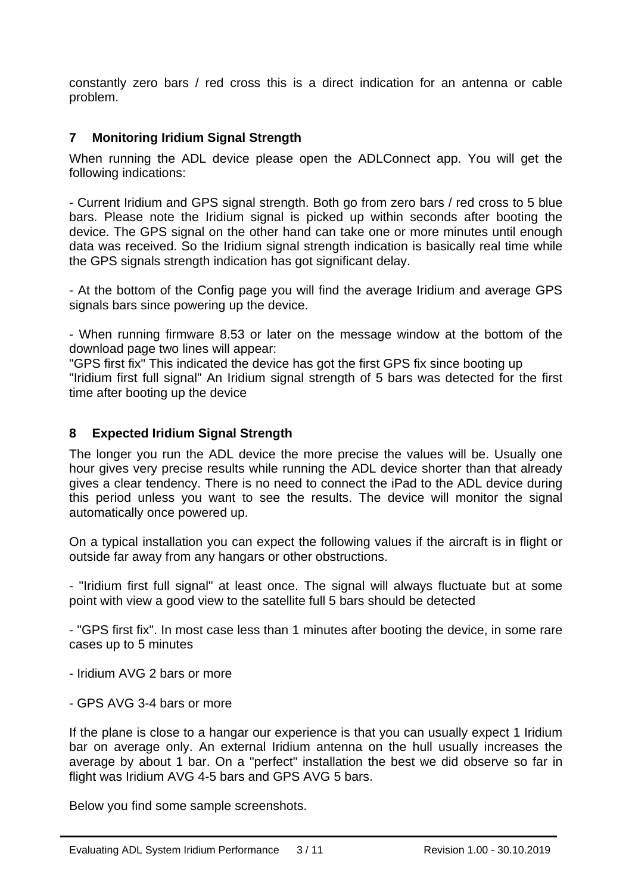constantly zero bars / red cross this is a direct indication for an antenna or cable problem.

### **7 Monitoring Iridium Signal Strength**

When running the ADL device please open the ADLConnect app. You will get the following indications:

- Current Iridium and GPS signal strength. Both go from zero bars / red cross to 5 blue bars. Please note the Iridium signal is picked up within seconds after booting the device. The GPS signal on the other hand can take one or more minutes until enough data was received. So the Iridium signal strength indication is basically real time while the GPS signals strength indication has got significant delay.

- At the bottom of the Config page you will find the average Iridium and average GPS signals bars since powering up the device.

- When running firmware 8.53 or later on the message window at the bottom of the download page two lines will appear:

"GPS first fix" This indicated the device has got the first GPS fix since booting up "Iridium first full signal" An Iridium signal strength of 5 bars was detected for the first time after booting up the device

#### **8 Expected Iridium Signal Strength**

The longer you run the ADL device the more precise the values will be. Usually one hour gives very precise results while running the ADL device shorter than that already gives a clear tendency. There is no need to connect the iPad to the ADL device during this period unless you want to see the results. The device will monitor the signal automatically once powered up.

On a typical installation you can expect the following values if the aircraft is in flight or outside far away from any hangars or other obstructions.

- "Iridium first full signal" at least once. The signal will always fluctuate but at some point with view a good view to the satellite full 5 bars should be detected

- "GPS first fix". In most case less than 1 minutes after booting the device, in some rare cases up to 5 minutes

- Iridium AVG 2 bars or more
- GPS AVG 3-4 bars or more

j

If the plane is close to a hangar our experience is that you can usually expect 1 Iridium bar on average only. An external Iridium antenna on the hull usually increases the average by about 1 bar. On a "perfect" installation the best we did observe so far in flight was Iridium AVG 4-5 bars and GPS AVG 5 bars.

Below you find some sample screenshots.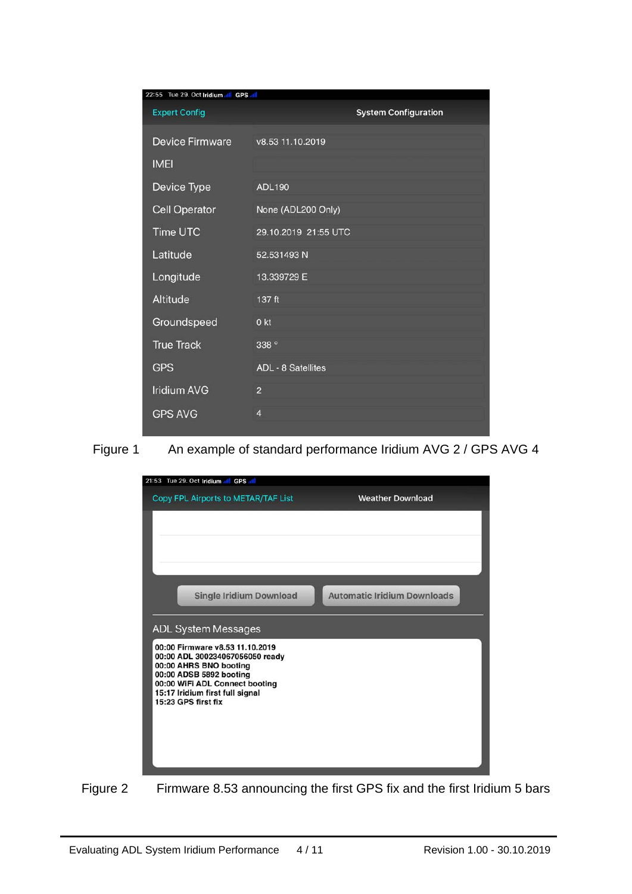| 22:55 Tue 29. Oct Iridium all GPS all |                             |  |  |
|---------------------------------------|-----------------------------|--|--|
| <b>Expert Config</b>                  | <b>System Configuration</b> |  |  |
| <b>Device Firmware</b>                | v8.53 11.10.2019            |  |  |
| <b>IMEI</b>                           |                             |  |  |
| Device Type                           | <b>ADL190</b>               |  |  |
| <b>Cell Operator</b>                  | None (ADL200 Only)          |  |  |
| Time UTC                              | 29.10.2019 21:55 UTC        |  |  |
| Latitude                              | 52.531493 N                 |  |  |
| Longitude                             | 13.339729 E                 |  |  |
| Altitude                              | 137 ft                      |  |  |
| Groundspeed                           | 0 <sub>kt</sub>             |  |  |
| <b>True Track</b>                     | 338 °                       |  |  |
| <b>GPS</b>                            | <b>ADL - 8 Satellites</b>   |  |  |
| <b>Iridium AVG</b>                    | $\overline{2}$              |  |  |
| <b>GPS AVG</b>                        | $\overline{4}$              |  |  |







j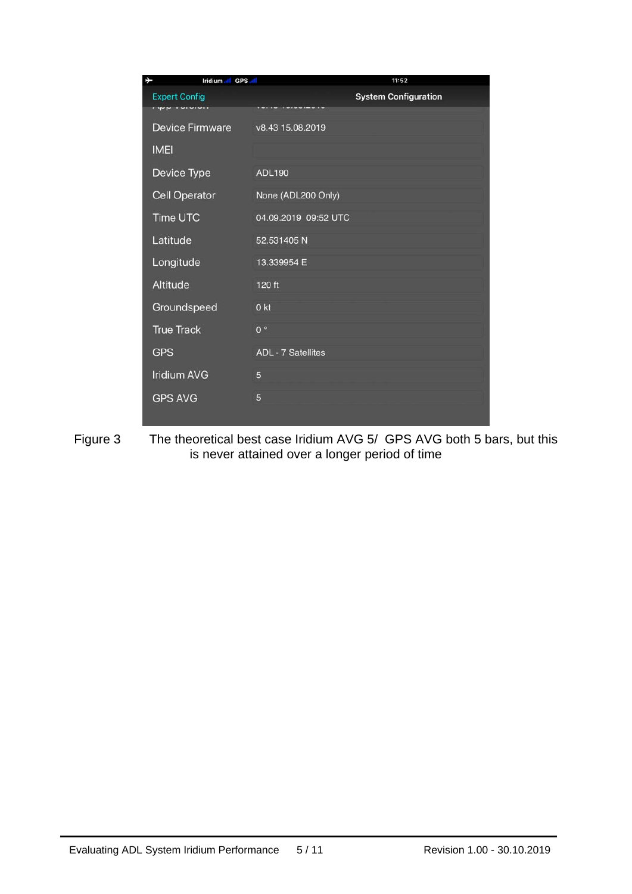| ⊁<br>Iridium all GPS all | 11:52                       |
|--------------------------|-----------------------------|
| <b>Expert Config</b>     | <b>System Configuration</b> |
| <b>Device Firmware</b>   | v8.43 15.08.2019            |
| <b>IMEI</b>              |                             |
| Device Type              | <b>ADL190</b>               |
| <b>Cell Operator</b>     | None (ADL200 Only)          |
| Time UTC                 | 04.09.2019 09:52 UTC        |
| Latitude                 | 52.531405 N                 |
| Longitude                | 13.339954 E                 |
| Altitude                 | 120 ft                      |
| Groundspeed              | 0 <sub>kt</sub>             |
| <b>True Track</b>        | 0 <sup>°</sup>              |
| <b>GPS</b>               | <b>ADL - 7 Satellites</b>   |
| <b>Iridium AVG</b>       | 5                           |
| <b>GPS AVG</b>           | 5                           |
|                          |                             |

Figure 3 The theoretical best case Iridium AVG 5/ GPS AVG both 5 bars, but this is never attained over a longer period of time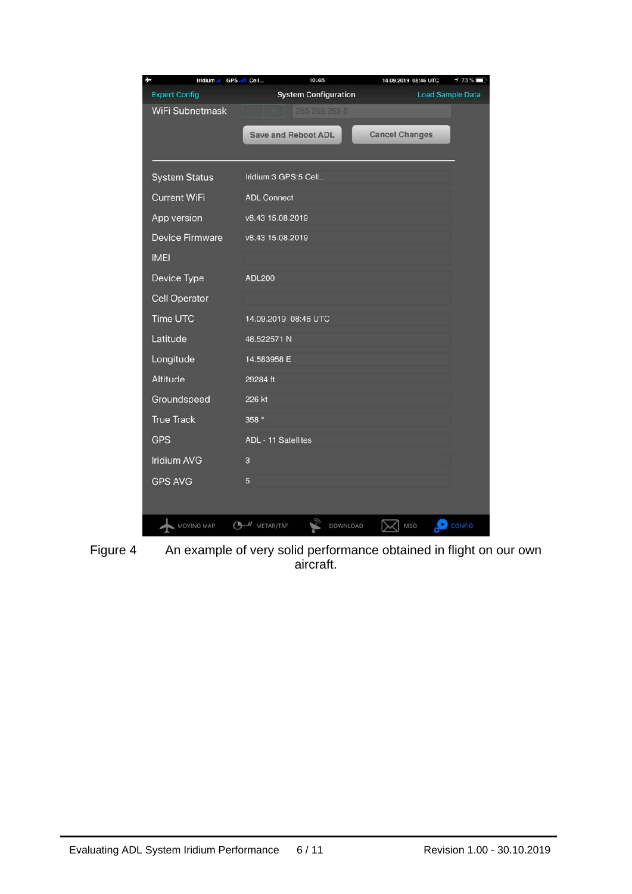| Ł<br>Iridium at        | GPS III Cell<br>10:46       | 14.09.2019 08:46 UTC<br>$173\%$ |
|------------------------|-----------------------------|---------------------------------|
| <b>Expert Config</b>   | <b>System Configuration</b> | <b>Load Sample Data</b>         |
| WiFi Subnetmask        | 255.255.255.0               |                                 |
|                        | <b>Save and Reboot ADL</b>  | <b>Cancel Changes</b>           |
|                        |                             |                                 |
|                        |                             |                                 |
| <b>System Status</b>   | Iridium:3 GPS:5 Cell        |                                 |
| <b>Current WiFi</b>    | <b>ADL Connect</b>          |                                 |
| App version            | v8.43 15.08.2019            |                                 |
| <b>Device Firmware</b> | v8.43 15.08.2019            |                                 |
| <b>IMEI</b>            |                             |                                 |
| Device Type            | <b>ADL200</b>               |                                 |
| <b>Cell Operator</b>   |                             |                                 |
| Time UTC               | 14.09.2019 08:46 UTC        |                                 |
| Latitude               | 48.522571 N                 |                                 |
| Longitude              | 14.583958 E                 |                                 |
| Altitude               | 29284 ft                    |                                 |
| Groundspeed            | 226 kt                      |                                 |
| <b>True Track</b>      | 358 <sup>°</sup>            |                                 |
| <b>GPS</b>             | ADL - 11 Satellites         |                                 |
| <b>Iridium AVG</b>     | 3                           |                                 |
| <b>GPS AVG</b>         | 5                           |                                 |
|                        |                             |                                 |
| MOVING MAP             | $U$ METAR/TAF<br>DOWNLOAD   | CONFIG<br>MSG                   |

Figure 4 An example of very solid performance obtained in flight on our own aircraft.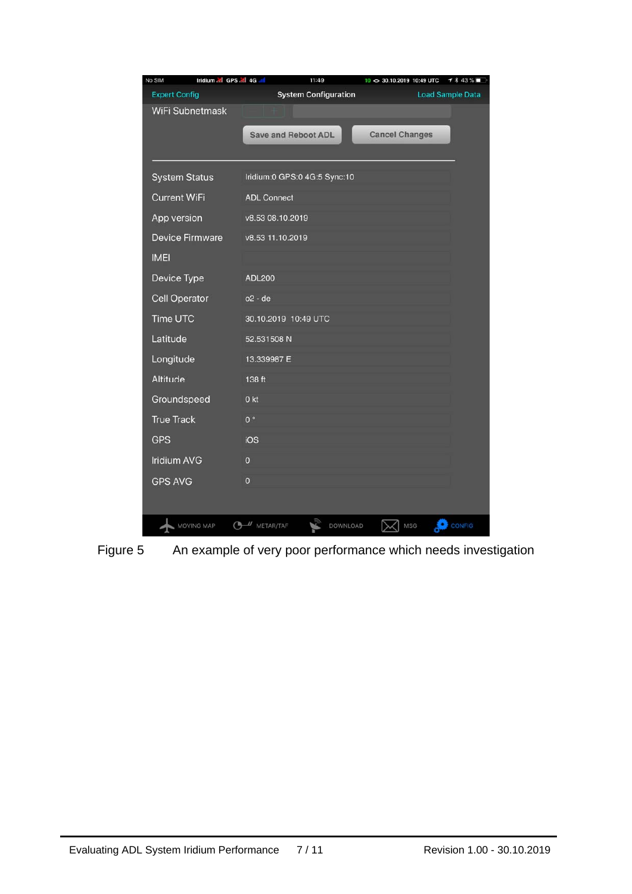| No SIM<br>Iridium all GPS all 4G all | 11:49                        | 10 <> 30.10.2019 10:49 UTC<br>$1*43%$ |
|--------------------------------------|------------------------------|---------------------------------------|
| <b>Expert Config</b>                 | <b>System Configuration</b>  | <b>Load Sample Data</b>               |
| <b>WiFi Subnetmask</b>               |                              |                                       |
|                                      | <b>Save and Reboot ADL</b>   | <b>Cancel Changes</b>                 |
|                                      |                              |                                       |
|                                      |                              |                                       |
| <b>System Status</b>                 | Iridium:0 GPS:0 4G:5 Sync:10 |                                       |
| <b>Current WiFi</b>                  | <b>ADL Connect</b>           |                                       |
| App version                          | v8.53 08.10.2019             |                                       |
| <b>Device Firmware</b>               | v8.53 11.10.2019             |                                       |
| <b>IMEI</b>                          |                              |                                       |
| Device Type                          | <b>ADL200</b>                |                                       |
| <b>Cell Operator</b>                 | o2 - de                      |                                       |
| Time UTC                             | 30.10.2019 10:49 UTC         |                                       |
| Latitude                             | 52.531508 N                  |                                       |
| Longitude                            | 13.339987 E                  |                                       |
| Altitude                             | 138 ft                       |                                       |
| Groundspeed                          | 0 <sub>kt</sub>              |                                       |
| <b>True Track</b>                    | 0 <sup>o</sup>               |                                       |
| <b>GPS</b>                           | iOS                          |                                       |
| <b>Iridium AVG</b>                   | $\overline{0}$               |                                       |
| <b>GPS AVG</b>                       | $\mathbf 0$                  |                                       |
|                                      |                              |                                       |
| <b>MOVING MAP</b>                    | $U$ METAR/TAF<br>DOWNLOAD    | <b>MSG</b><br>CONFIG                  |

Figure 5 An example of very poor performance which needs investigation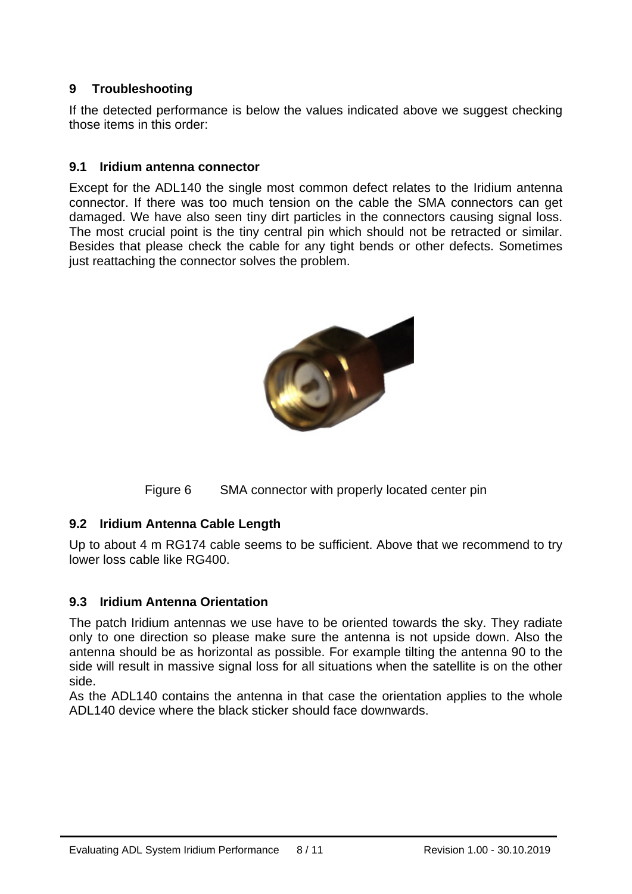## **9 Troubleshooting**

If the detected performance is below the values indicated above we suggest checking those items in this order:

#### **9.1 Iridium antenna connector**

Except for the ADL140 the single most common defect relates to the Iridium antenna connector. If there was too much tension on the cable the SMA connectors can get damaged. We have also seen tiny dirt particles in the connectors causing signal loss. The most crucial point is the tiny central pin which should not be retracted or similar. Besides that please check the cable for any tight bends or other defects. Sometimes just reattaching the connector solves the problem.



Figure 6 SMA connector with properly located center pin

#### **9.2 Iridium Antenna Cable Length**

Up to about 4 m RG174 cable seems to be sufficient. Above that we recommend to try lower loss cable like RG400.

#### **9.3 Iridium Antenna Orientation**

The patch Iridium antennas we use have to be oriented towards the sky. They radiate only to one direction so please make sure the antenna is not upside down. Also the antenna should be as horizontal as possible. For example tilting the antenna 90 to the side will result in massive signal loss for all situations when the satellite is on the other side.

As the ADL140 contains the antenna in that case the orientation applies to the whole ADL140 device where the black sticker should face downwards.

j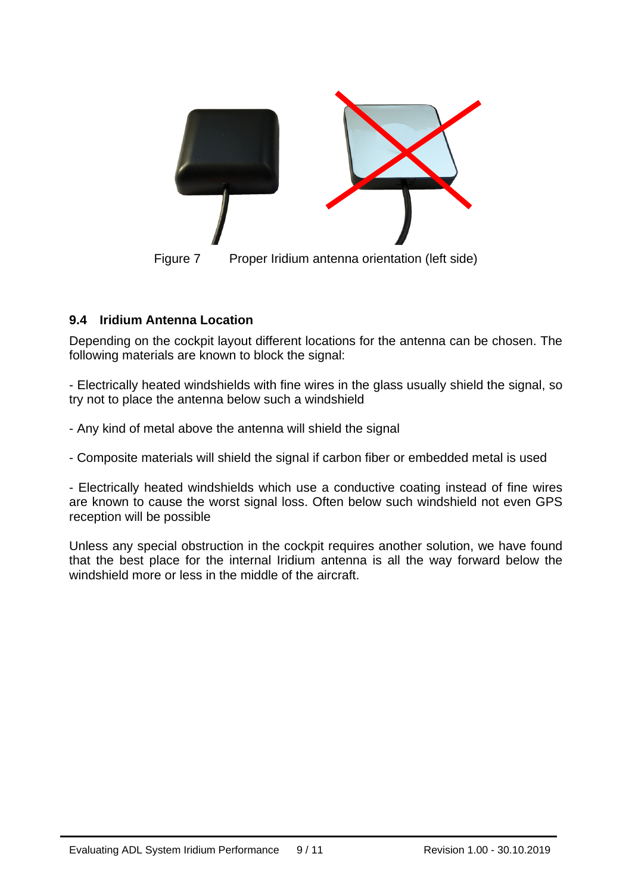

#### **9.4 Iridium Antenna Location**

Depending on the cockpit layout different locations for the antenna can be chosen. The following materials are known to block the signal:

- Electrically heated windshields with fine wires in the glass usually shield the signal, so try not to place the antenna below such a windshield

- Any kind of metal above the antenna will shield the signal

- Composite materials will shield the signal if carbon fiber or embedded metal is used

- Electrically heated windshields which use a conductive coating instead of fine wires are known to cause the worst signal loss. Often below such windshield not even GPS reception will be possible

Unless any special obstruction in the cockpit requires another solution, we have found that the best place for the internal Iridium antenna is all the way forward below the windshield more or less in the middle of the aircraft.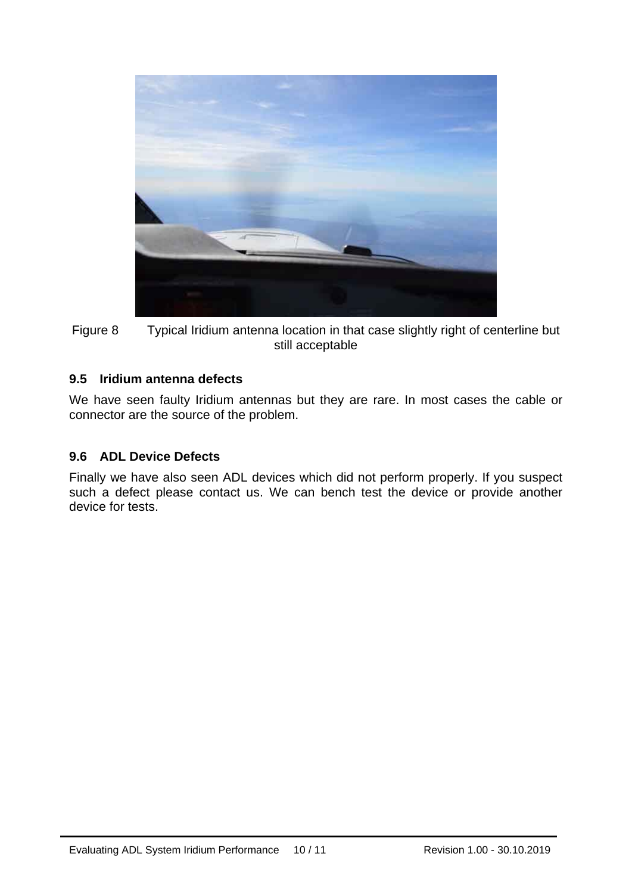



#### **9.5 Iridium antenna defects**

We have seen faulty Iridium antennas but they are rare. In most cases the cable or connector are the source of the problem.

#### **9.6 ADL Device Defects**

Finally we have also seen ADL devices which did not perform properly. If you suspect such a defect please contact us. We can bench test the device or provide another device for tests.